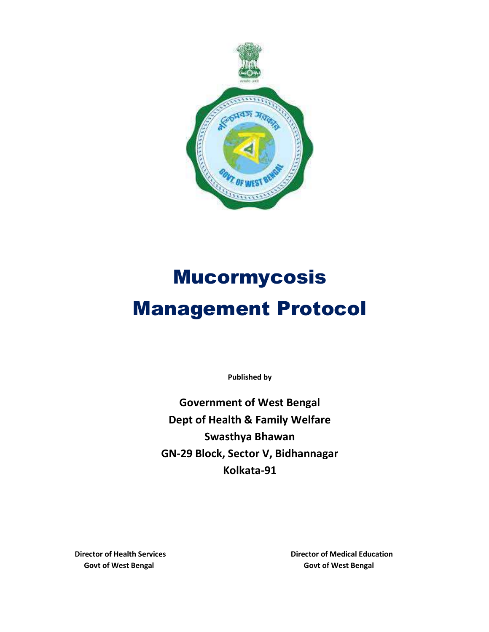

# Mucormycosis Management Protocol

Published by

Government of West Bengal Dept of Health & Family Welfare Swasthya Bhawan GN-29 Block, Sector V, Bidhannagar Kolkata-91

Director of Health Services Director of Medical Education Govt of West Bengal Govt of West Bengal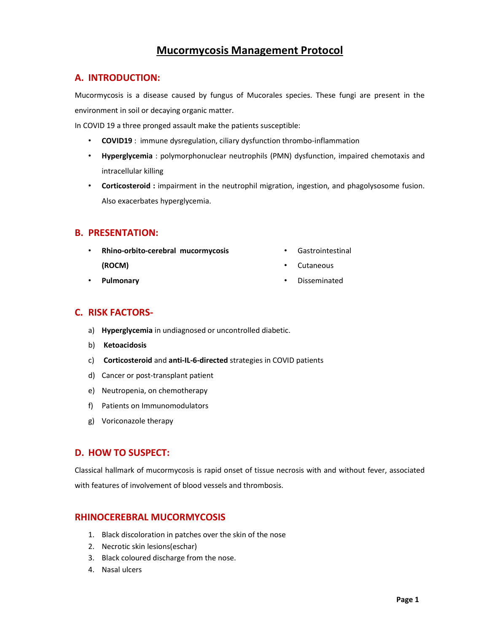## Mucormycosis Management Protocol

## A. INTRODUCTION:

Mucormycosis is a disease caused by fungus of Mucorales species. These fungi are present in the environment in soil or decaying organic matter.

In COVID 19 a three pronged assault make the patients susceptible:

- COVID19 : immune dysregulation, ciliary dysfunction thrombo-inflammation
- Hyperglycemia : polymorphonuclear neutrophils (PMN) dysfunction, impaired chemotaxis and intracellular killing
- Corticosteroid : impairment in the neutrophil migration, ingestion, and phagolysosome fusion. Also exacerbates hyperglycemia.

## B. PRESENTATION:

- Rhino-orbito-cerebral mucormycosis (ROCM)
- Gastrointestinal
- Cutaneous

• Pulmonary

• Disseminated

## C. RISK FACTORS-

- a) Hyperglycemia in undiagnosed or uncontrolled diabetic.
- b) Ketoacidosis
- c) Corticosteroid and anti-IL-6-directed strategies in COVID patients
- d) Cancer or post-transplant patient
- e) Neutropenia, on chemotherapy
- f) Patients on Immunomodulators
- g) Voriconazole therapy

## D. HOW TO SUSPECT:

Classical hallmark of mucormycosis is rapid onset of tissue necrosis with and without fever, associated with features of involvement of blood vessels and thrombosis.

## RHINOCEREBRAL MUCORMYCOSIS

- 1. Black discoloration in patches over the skin of the nose
- 2. Necrotic skin lesions(eschar)
- 3. Black coloured discharge from the nose.
- 4. Nasal ulcers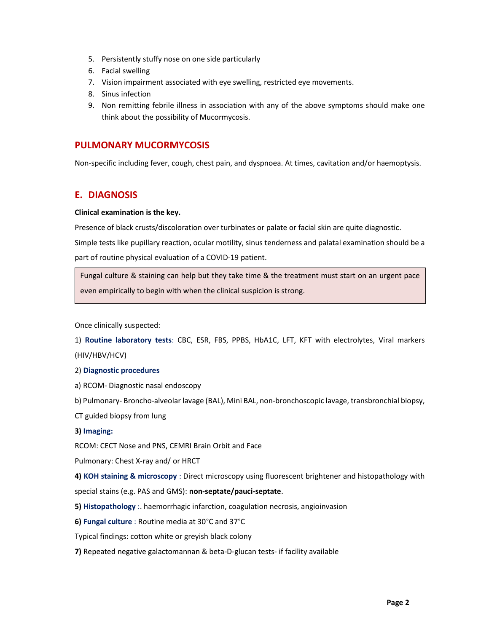- 5. Persistently stuffy nose on one side particularly
- 6. Facial swelling
- 7. Vision impairment associated with eye swelling, restricted eye movements.
- 8. Sinus infection
- 9. Non remitting febrile illness in association with any of the above symptoms should make one think about the possibility of Mucormycosis.

## PULMONARY MUCORMYCOSIS

Non-specific including fever, cough, chest pain, and dyspnoea. At times, cavitation and/or haemoptysis.

## E. DIAGNOSIS

#### Clinical examination is the key.

Presence of black crusts/discoloration over turbinates or palate or facial skin are quite diagnostic.

Simple tests like pupillary reaction, ocular motility, sinus tenderness and palatal examination should be a part of routine physical evaluation of a COVID-19 patient.

Fungal culture & staining can help but they take time & the treatment must start on an urgent pace even empirically to begin with when the clinical suspicion is strong.

Once clinically suspected:

1) Routine laboratory tests: CBC, ESR, FBS, PPBS, HbA1C, LFT, KFT with electrolytes, Viral markers (HIV/HBV/HCV)

#### 2) Diagnostic procedures

- a) RCOM- Diagnostic nasal endoscopy
- b) Pulmonary- Broncho-alveolar lavage (BAL), Mini BAL, non-bronchoscopic lavage, transbronchial biopsy,

CT guided biopsy from lung

#### 3) Imaging:

RCOM: CECT Nose and PNS, CEMRI Brain Orbit and Face

Pulmonary: Chest X-ray and/ or HRCT

4) KOH staining & microscopy : Direct microscopy using fluorescent brightener and histopathology with special stains (e.g. PAS and GMS): non-septate/pauci-septate.

- 5) Histopathology :. haemorrhagic infarction, coagulation necrosis, angioinvasion
- 6) Fungal culture : Routine media at 30°C and 37°C

Typical findings: cotton white or greyish black colony

7) Repeated negative galactomannan & beta-D-glucan tests- if facility available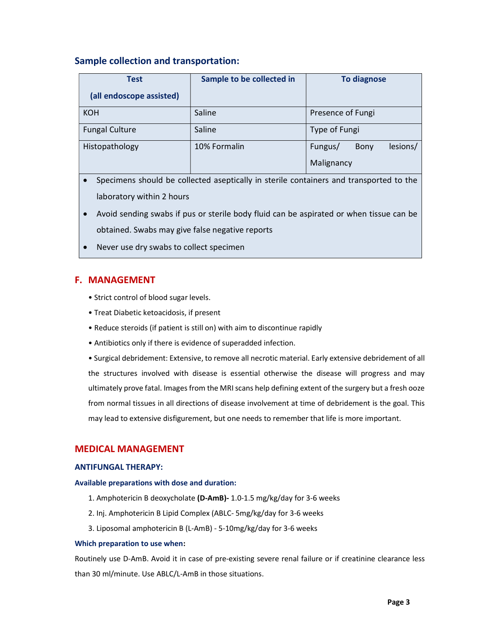## Sample collection and transportation:

| <b>Test</b>              | Sample to be collected in | <b>To diagnose</b>          |  |  |  |
|--------------------------|---------------------------|-----------------------------|--|--|--|
| (all endoscope assisted) |                           |                             |  |  |  |
| <b>KOH</b>               | Saline                    | Presence of Fungi           |  |  |  |
| <b>Fungal Culture</b>    | Saline                    | Type of Fungi               |  |  |  |
| Histopathology           | 10% Formalin              | lesions/<br>Fungus/<br>Bony |  |  |  |
|                          |                           | Malignancy                  |  |  |  |

- Specimens should be collected aseptically in sterile containers and transported to the laboratory within 2 hours
- Avoid sending swabs if pus or sterile body fluid can be aspirated or when tissue can be obtained. Swabs may give false negative reports
- Never use dry swabs to collect specimen

## F. MANAGEMENT

- Strict control of blood sugar levels.
- Treat Diabetic ketoacidosis, if present
- Reduce steroids (if patient is still on) with aim to discontinue rapidly
- Antibiotics only if there is evidence of superadded infection.

• Surgical debridement: Extensive, to remove all necrotic material. Early extensive debridement of all the structures involved with disease is essential otherwise the disease will progress and may ultimately prove fatal. Images from the MRI scans help defining extent of the surgery but a fresh ooze from normal tissues in all directions of disease involvement at time of debridement is the goal. This may lead to extensive disfigurement, but one needs to remember that life is more important.

## MEDICAL MANAGEMENT

#### ANTIFUNGAL THERAPY:

#### Available preparations with dose and duration:

- 1. Amphotericin B deoxycholate (D-AmB)- 1.0-1.5 mg/kg/day for 3-6 weeks
- 2. Inj. Amphotericin B Lipid Complex (ABLC- 5mg/kg/day for 3-6 weeks
- 3. Liposomal amphotericin B (L-AmB) 5-10mg/kg/day for 3-6 weeks

#### Which preparation to use when:

Routinely use D-AmB. Avoid it in case of pre-existing severe renal failure or if creatinine clearance less than 30 ml/minute. Use ABLC/L-AmB in those situations.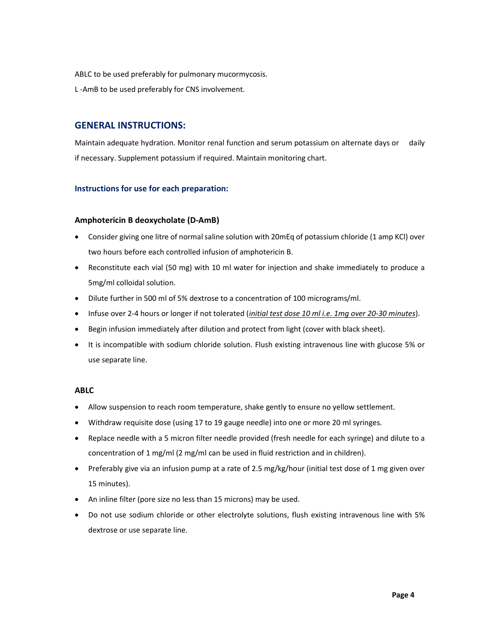ABLC to be used preferably for pulmonary mucormycosis.

L -AmB to be used preferably for CNS involvement.

## GENERAL INSTRUCTIONS:

Maintain adequate hydration. Monitor renal function and serum potassium on alternate days or daily if necessary. Supplement potassium if required. Maintain monitoring chart.

#### Instructions for use for each preparation:

#### Amphotericin B deoxycholate (D-AmB)

- Consider giving one litre of normal saline solution with 20mEq of potassium chloride (1 amp KCl) over two hours before each controlled infusion of amphotericin B.
- Reconstitute each vial (50 mg) with 10 ml water for injection and shake immediately to produce a 5mg/ml colloidal solution.
- Dilute further in 500 ml of 5% dextrose to a concentration of 100 micrograms/ml.
- Infuse over 2-4 hours or longer if not tolerated (initial test dose 10 ml i.e. 1mg over 20-30 minutes).
- Begin infusion immediately after dilution and protect from light (cover with black sheet).
- It is incompatible with sodium chloride solution. Flush existing intravenous line with glucose 5% or use separate line.

#### ABLC

- Allow suspension to reach room temperature, shake gently to ensure no yellow settlement.
- Withdraw requisite dose (using 17 to 19 gauge needle) into one or more 20 ml syringes.
- Replace needle with a 5 micron filter needle provided (fresh needle for each syringe) and dilute to a concentration of 1 mg/ml (2 mg/ml can be used in fluid restriction and in children).
- Preferably give via an infusion pump at a rate of 2.5 mg/kg/hour (initial test dose of 1 mg given over 15 minutes).
- An inline filter (pore size no less than 15 microns) may be used.
- Do not use sodium chloride or other electrolyte solutions, flush existing intravenous line with 5% dextrose or use separate line.